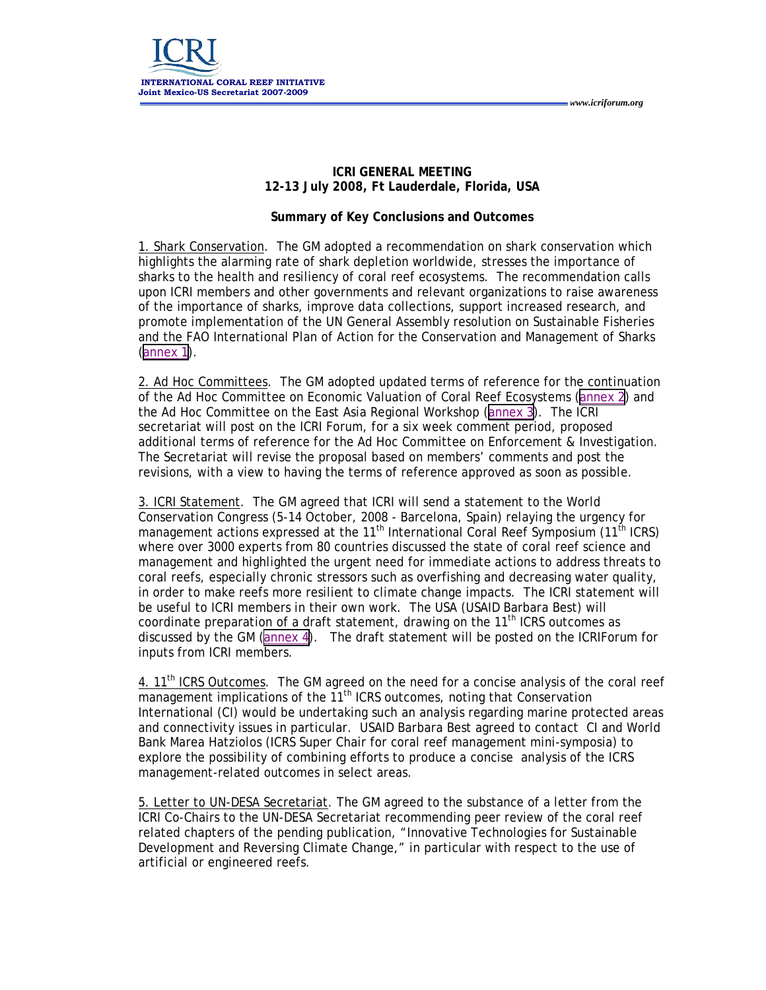### **ICRI GENERAL MEETING 12-13 July 2008, Ft Lauderdale, Florida, USA**

 *www.icriforum.org* 

### **Summary of Key Conclusions and Outcomes**

1. Shark Conservation. The GM adopted a recommendation on shark conservation which highlights the alarming rate of shark depletion worldwide, stresses the importance of sharks to the health and resiliency of coral reef ecosystems. The recommendation calls upon ICRI members and other governments and relevant organizations to raise awareness of the importance of sharks, improve data collections, support increased research, and promote implementation of the UN General Assembly resolution on Sustainable Fisheries and the FAO International Plan of Action for the Conservation and Management of Sharks [\(annex 1](#page-2-0)).

2. Ad Hoc Committees. The GM adopted updated terms of reference for the continuation of the Ad Hoc Committee on Economic Valuation of Coral Reef Ecosystems ([annex 2\)](#page-4-0) and the Ad Hoc Committee on the East Asia Regional Workshop ([annex 3\)](#page-6-0). The ICRI secretariat will post on the ICRI Forum, for a six week comment period, proposed additional terms of reference for the Ad Hoc Committee on Enforcement & Investigation. The Secretariat will revise the proposal based on members' comments and post the revisions, with a view to having the terms of reference approved as soon as possible.

3. ICRI Statement. The GM agreed that ICRI will send a statement to the World Conservation Congress (5-14 October, 2008 - Barcelona, Spain) relaying the urgency for management actions expressed at the 11<sup>th</sup> International Coral Reef Symposium (11<sup>th</sup> ICRS) where over 3000 experts from 80 countries discussed the state of coral reef science and management and highlighted the urgent need for immediate actions to address threats to coral reefs, especially chronic stressors such as overfishing and decreasing water quality, in order to make reefs more resilient to climate change impacts. The ICRI statement will be useful to ICRI members in their own work. The USA (USAID Barbara Best) will coordinate preparation of a draft statement, drawing on the  $11<sup>th</sup>$  ICRS outcomes as discussed by the GM ([annex 4](#page-7-0)). The draft statement will be posted on the ICRIForum for inputs from ICRI members.

4. 11<sup>th</sup> ICRS Outcomes. The GM agreed on the need for a concise analysis of the coral reef  $\overline{\mathsf{m}}$ anagement implications of the  $11^{\text{th}}$  ICRS outcomes, noting that Conservation International (CI) would be undertaking such an analysis regarding marine protected areas and connectivity issues in particular. USAID Barbara Best agreed to contact CI and World Bank Marea Hatziolos (ICRS Super Chair for coral reef management mini-symposia) to explore the possibility of combining efforts to produce a concise analysis of the ICRS management-related outcomes in select areas.

5. Letter to UN-DESA Secretariat. The GM agreed to the substance of a letter from the ICRI Co-Chairs to the UN-DESA Secretariat recommending peer review of the coral reef related chapters of the pending publication, "Innovative Technologies for Sustainable Development and Reversing Climate Change," in particular with respect to the use of artificial or engineered reefs.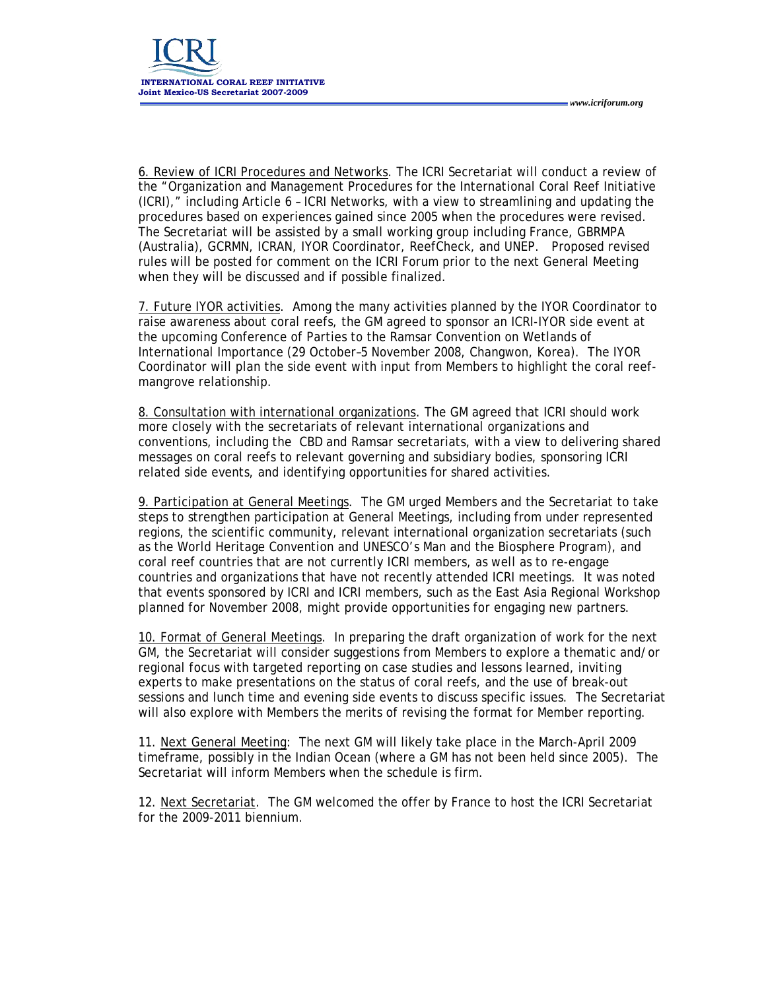6. Review of ICRI Procedures and Networks. The ICRI Secretariat will conduct a review of the "Organization and Management Procedures for the International Coral Reef Initiative (ICRI)," including Article 6 – ICRI Networks, with a view to streamlining and updating the procedures based on experiences gained since 2005 when the procedures were revised. The Secretariat will be assisted by a small working group including France, GBRMPA (Australia), GCRMN, ICRAN, IYOR Coordinator, ReefCheck, and UNEP. Proposed revised rules will be posted for comment on the ICRI Forum prior to the next General Meeting when they will be discussed and if possible finalized.

 *www.icriforum.org* 

7. Future IYOR activities. Among the many activities planned by the IYOR Coordinator to raise awareness about coral reefs, the GM agreed to sponsor an ICRI-IYOR side event at the upcoming Conference of Parties to the Ramsar Convention on Wetlands of International Importance (29 October–5 November 2008, Changwon, Korea). The IYOR Coordinator will plan the side event with input from Members to highlight the coral reefmangrove relationship.

8. Consultation with international organizations. The GM agreed that ICRI should work more closely with the secretariats of relevant international organizations and conventions, including the CBD and Ramsar secretariats, with a view to delivering shared messages on coral reefs to relevant governing and subsidiary bodies, sponsoring ICRI related side events, and identifying opportunities for shared activities.

9. Participation at General Meetings. The GM urged Members and the Secretariat to take steps to strengthen participation at General Meetings, including from under represented regions, the scientific community, relevant international organization secretariats (such as the World Heritage Convention and UNESCO's Man and the Biosphere Program), and coral reef countries that are not currently ICRI members, as well as to re-engage countries and organizations that have not recently attended ICRI meetings. It was noted that events sponsored by ICRI and ICRI members, such as the East Asia Regional Workshop planned for November 2008, might provide opportunities for engaging new partners.

10. Format of General Meetings. In preparing the draft organization of work for the next GM, the Secretariat will consider suggestions from Members to explore a thematic and/or regional focus with targeted reporting on case studies and lessons learned, inviting experts to make presentations on the status of coral reefs, and the use of break-out sessions and lunch time and evening side events to discuss specific issues. The Secretariat will also explore with Members the merits of revising the format for Member reporting.

11. Next General Meeting: The next GM will likely take place in the March-April 2009 timeframe, possibly in the Indian Ocean (where a GM has not been held since 2005). The Secretariat will inform Members when the schedule is firm.

12. Next Secretariat. The GM welcomed the offer by France to host the ICRI Secretariat for the 2009-2011 biennium.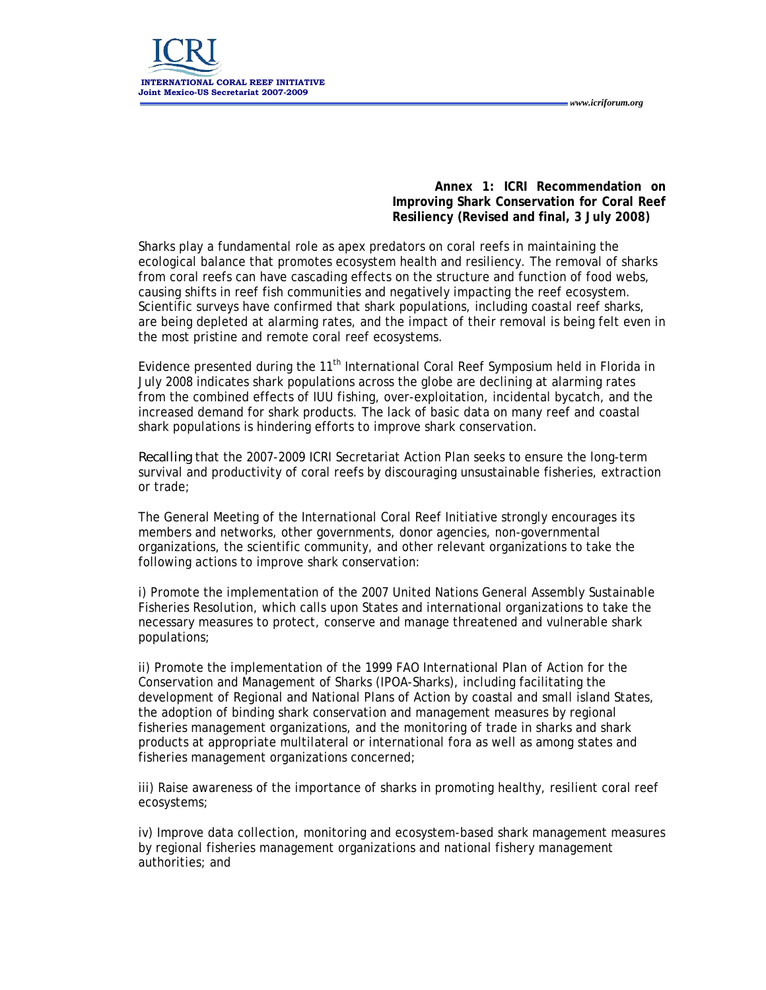<span id="page-2-0"></span>

**Annex 1: ICRI Recommendation on Improving Shark Conservation for Coral Reef Resiliency (Revised and final, 3 July 2008)** 

 *www.icriforum.org* 

Sharks play a fundamental role as apex predators on coral reefs in maintaining the ecological balance that promotes ecosystem health and resiliency. The removal of sharks from coral reefs can have cascading effects on the structure and function of food webs, causing shifts in reef fish communities and negatively impacting the reef ecosystem. Scientific surveys have confirmed that shark populations, including coastal reef sharks, are being depleted at alarming rates, and the impact of their removal is being felt even in the most pristine and remote coral reef ecosystems.

Evidence presented during the 11<sup>th</sup> International Coral Reef Symposium held in Florida in July 2008 indicates shark populations across the globe are declining at alarming rates from the combined effects of IUU fishing, over-exploitation, incidental bycatch, and the increased demand for shark products. The lack of basic data on many reef and coastal shark populations is hindering efforts to improve shark conservation.

*Recalling* that the 2007-2009 ICRI Secretariat Action Plan seeks to ensure the long-term survival and productivity of coral reefs by discouraging unsustainable fisheries, extraction or trade;

The General Meeting of the International Coral Reef Initiative strongly encourages its members and networks, other governments, donor agencies, non-governmental organizations, the scientific community, and other relevant organizations to take the following actions to improve shark conservation:

i) Promote the implementation of the 2007 United Nations General Assembly Sustainable Fisheries Resolution, which calls upon States and international organizations to take the necessary measures to protect, conserve and manage threatened and vulnerable shark populations;

ii) Promote the implementation of the 1999 FAO International Plan of Action for the Conservation and Management of Sharks (IPOA-Sharks), including facilitating the development of Regional and National Plans of Action by coastal and small island States, the adoption of binding shark conservation and management measures by regional fisheries management organizations, and the monitoring of trade in sharks and shark products at appropriate multilateral or international fora as well as among states and fisheries management organizations concerned;

iii) Raise awareness of the importance of sharks in promoting healthy, resilient coral reef ecosystems;

iv) Improve data collection, monitoring and ecosystem-based shark management measures by regional fisheries management organizations and national fishery management authorities; and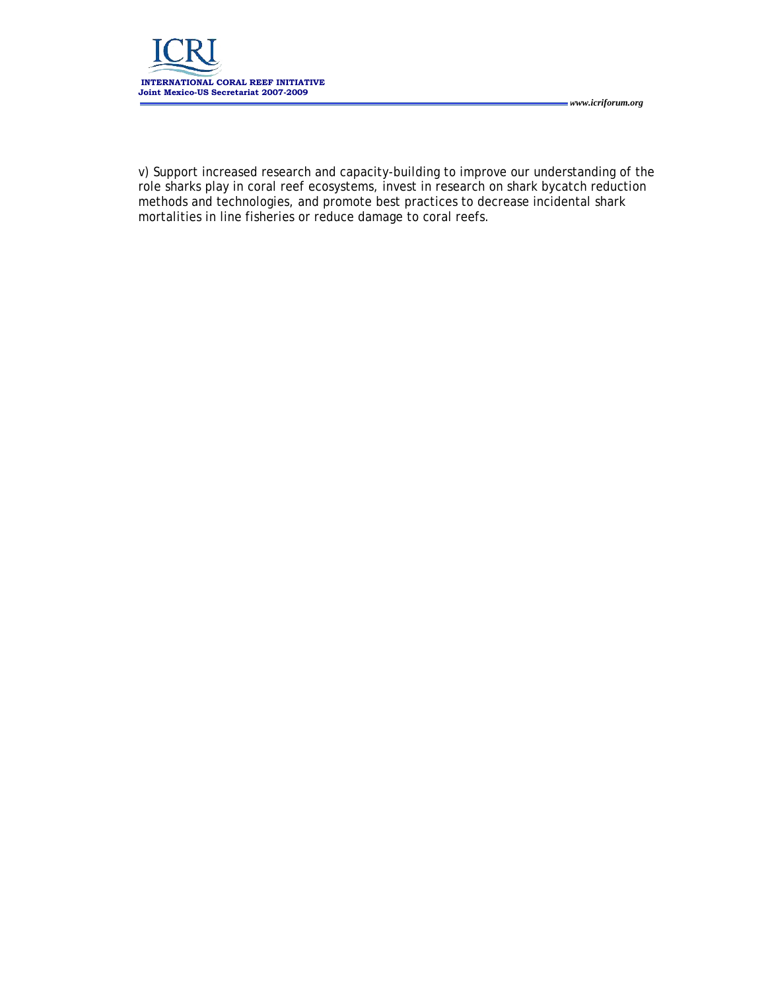

v) Support increased research and capacity-building to improve our understanding of the role sharks play in coral reef ecosystems, invest in research on shark bycatch reduction methods and technologies, and promote best practices to decrease incidental shark mortalities in line fisheries or reduce damage to coral reefs.

 *www.icriforum.org*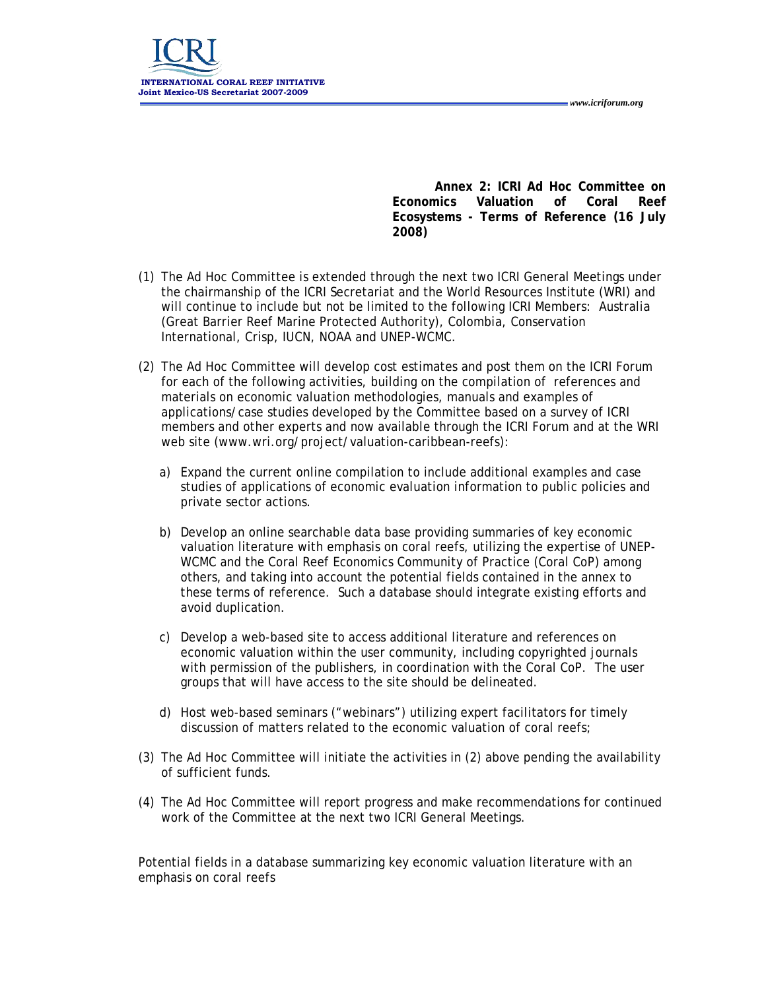<span id="page-4-0"></span>

**Annex 2: ICRI Ad Hoc Committee on Economics Valuation of Coral Reef Ecosystems - Terms of Reference (16 July 2008)** 

 *www.icriforum.org* 

- (1) The Ad Hoc Committee is extended through the next two ICRI General Meetings under the chairmanship of the ICRI Secretariat and the World Resources Institute (WRI) and will continue to include but not be limited to the following ICRI Members: Australia (Great Barrier Reef Marine Protected Authority), Colombia, Conservation International, Crisp, IUCN, NOAA and UNEP-WCMC.
- (2) The Ad Hoc Committee will develop cost estimates and post them on the ICRI Forum for each of the following activities, building on the compilation of references and materials on economic valuation methodologies, manuals and examples of applications/case studies developed by the Committee based on a survey of ICRI members and other experts and now available through the ICRI Forum and at the WRI web site (www.wri.org/project/valuation-caribbean-reefs):
	- a) Expand the current online compilation to include additional examples and case studies of applications of economic evaluation information to public policies and private sector actions.
	- b) Develop an online searchable data base providing summaries of key economic valuation literature with emphasis on coral reefs, utilizing the expertise of UNEP-WCMC and the Coral Reef Economics Community of Practice (Coral CoP) among others, and taking into account the potential fields contained in the annex to these terms of reference. Such a database should integrate existing efforts and avoid duplication.
	- c) Develop a web-based site to access additional literature and references on economic valuation within the user community, including copyrighted journals with permission of the publishers, in coordination with the Coral CoP. The user groups that will have access to the site should be delineated.
	- d) Host web-based seminars ("webinars") utilizing expert facilitators for timely discussion of matters related to the economic valuation of coral reefs;
- (3) The Ad Hoc Committee will initiate the activities in (2) above pending the availability of sufficient funds.
- (4) The Ad Hoc Committee will report progress and make recommendations for continued work of the Committee at the next two ICRI General Meetings.

Potential fields in a database summarizing key economic valuation literature with an emphasis on coral reefs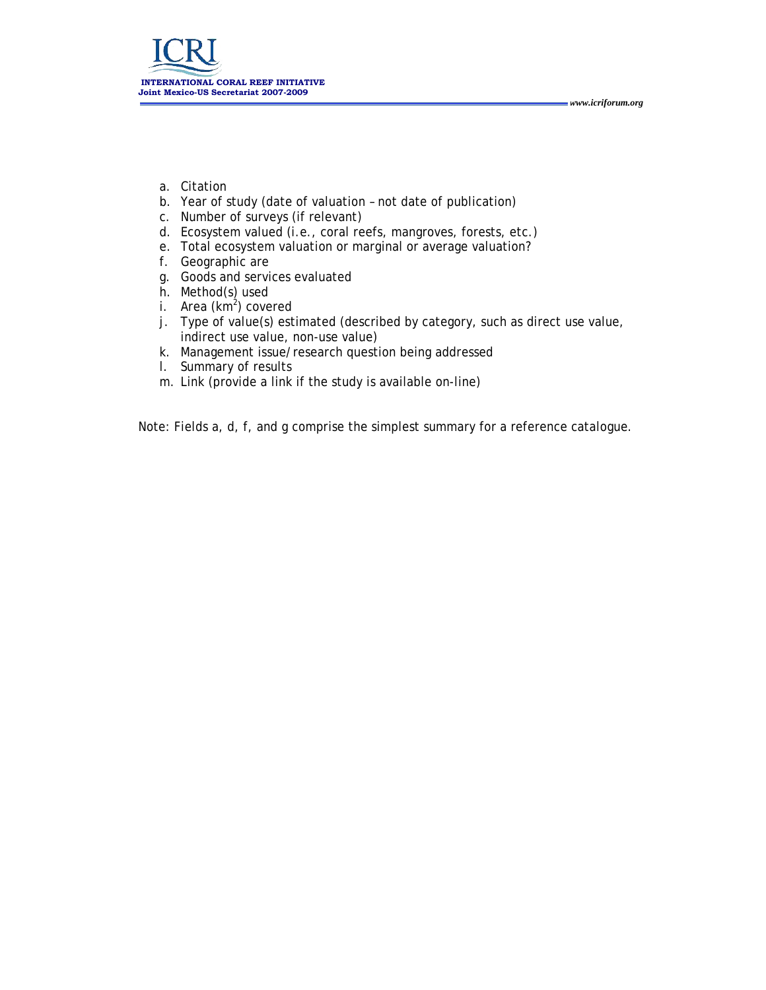- a. Citation
- b. Year of study (date of valuation not date of publication)
- c. Number of surveys (if relevant)
- d. Ecosystem valued (i.e., coral reefs, mangroves, forests, etc.)
- e. Total ecosystem valuation or marginal or average valuation?
- f. Geographic are
- g. Goods and services evaluated
- h. Method(s) used
- i. Area (km<sup>2</sup>) covered
- j. Type of value(s) estimated (described by category, such as direct use value, indirect use value, non-use value)

 *www.icriforum.org* 

- k. Management issue/research question being addressed
- l. Summary of results
- m. Link (provide a link if the study is available on-line)

Note: Fields a, d, f, and g comprise the simplest summary for a reference catalogue.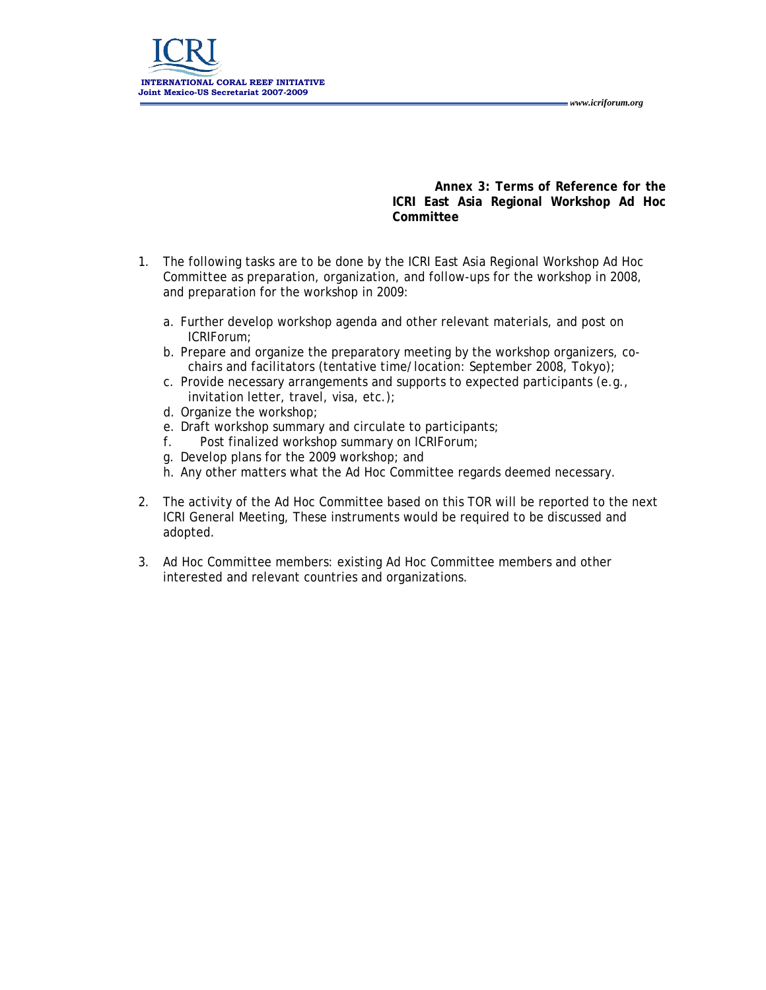*www.icriforum.org* 

<span id="page-6-0"></span>

**Annex 3: Terms of Reference for the ICRI East Asia Regional Workshop Ad Hoc Committee** 

- 1. The following tasks are to be done by the ICRI East Asia Regional Workshop Ad Hoc Committee as preparation, organization, and follow-ups for the workshop in 2008, and preparation for the workshop in 2009:
	- a. Further develop workshop agenda and other relevant materials, and post on ICRIForum;
	- b. Prepare and organize the preparatory meeting by the workshop organizers, cochairs and facilitators (tentative time/location: September 2008, Tokyo);
	- c. Provide necessary arrangements and supports to expected participants (e.g., invitation letter, travel, visa, etc.);
	- d. Organize the workshop;
	- e. Draft workshop summary and circulate to participants;
	- f. Post finalized workshop summary on ICRIForum;
	- g. Develop plans for the 2009 workshop; and
	- h. Any other matters what the Ad Hoc Committee regards deemed necessary.
- 2. The activity of the Ad Hoc Committee based on this TOR will be reported to the next ICRI General Meeting, These instruments would be required to be discussed and adopted.
- 3. Ad Hoc Committee members: existing Ad Hoc Committee members and other interested and relevant countries and organizations.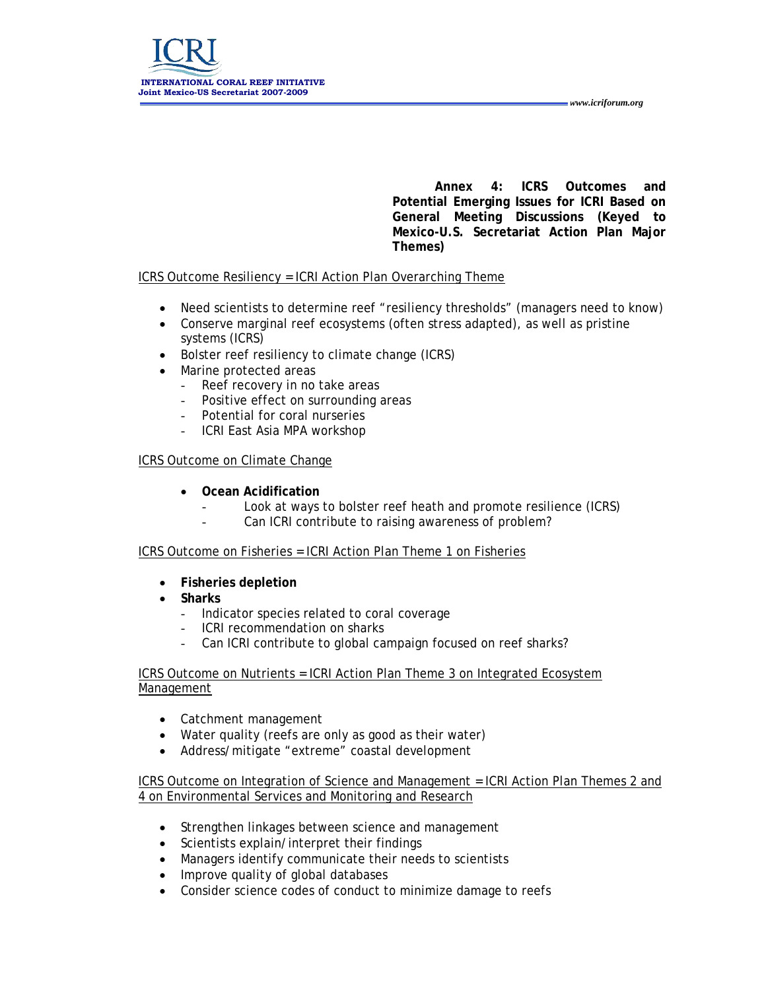**Annex 4: ICRS Outcomes and Potential Emerging Issues for ICRI Based on General Meeting Discussions (Keyed to Mexico-U.S. Secretariat Action Plan Major Themes)** 

 *www.icriforum.org* 

# <span id="page-7-0"></span>ICRS Outcome Resiliency = ICRI Action Plan Overarching Theme

- Need scientists to determine reef "resiliency thresholds" (managers need to know)
- Conserve marginal reef ecosystems (often stress adapted), as well as pristine systems (ICRS)
- Bolster reef resiliency to climate change (ICRS)
- Marine protected areas
	- Reef recovery in no take areas
	- Positive effect on surrounding areas
	- Potential for coral nurseries
	- ICRI East Asia MPA workshop

# ICRS Outcome on Climate Change

- **Ocean Acidification** 
	- Look at ways to bolster reef heath and promote resilience (ICRS)
	- Can ICRI contribute to raising awareness of problem?

# ICRS Outcome on Fisheries = ICRI Action Plan Theme 1 on Fisheries

- **Fisheries depletion**
- **Sharks** 
	- Indicator species related to coral coverage
	- ICRI recommendation on sharks
	- Can ICRI contribute to global campaign focused on reef sharks?

ICRS Outcome on Nutrients = ICRI Action Plan Theme 3 on Integrated Ecosystem Management

- Catchment management
- Water quality (reefs are only as good as their water)
- Address/mitigate "extreme" coastal development

ICRS Outcome on Integration of Science and Management = ICRI Action Plan Themes 2 and 4 on Environmental Services and Monitoring and Research

- Strengthen linkages between science and management
- Scientists explain/interpret their findings
- Managers identify communicate their needs to scientists
- Improve quality of global databases
- Consider science codes of conduct to minimize damage to reefs